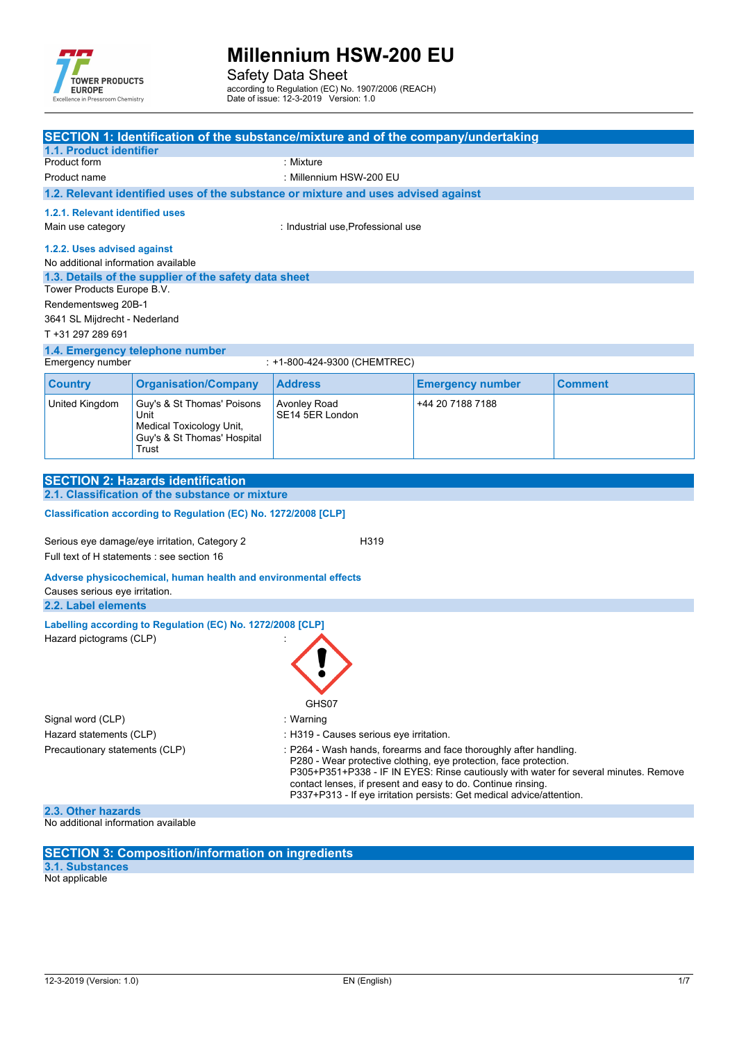

Safety Data Sheet

according to Regulation (EC) No. 1907/2006 (REACH)

Date of issue: 12-3-2019 Version: 1.0

| SECTION 1: Identification of the substance/mixture and of the company/undertaking<br>1.1. Product identifier                                              |                                                                 |                                                                                    |                                                                   |                |  |
|-----------------------------------------------------------------------------------------------------------------------------------------------------------|-----------------------------------------------------------------|------------------------------------------------------------------------------------|-------------------------------------------------------------------|----------------|--|
| Product form                                                                                                                                              |                                                                 | : Mixture                                                                          |                                                                   |                |  |
| Product name                                                                                                                                              |                                                                 | : Millennium HSW-200 EU                                                            |                                                                   |                |  |
|                                                                                                                                                           |                                                                 | 1.2. Relevant identified uses of the substance or mixture and uses advised against |                                                                   |                |  |
| 1.2.1. Relevant identified uses                                                                                                                           |                                                                 |                                                                                    |                                                                   |                |  |
| Main use category                                                                                                                                         |                                                                 | : Industrial use, Professional use                                                 |                                                                   |                |  |
| 1.2.2. Uses advised against<br>No additional information available                                                                                        |                                                                 |                                                                                    |                                                                   |                |  |
|                                                                                                                                                           | 1.3. Details of the supplier of the safety data sheet           |                                                                                    |                                                                   |                |  |
| Tower Products Europe B.V.                                                                                                                                |                                                                 |                                                                                    |                                                                   |                |  |
| Rendementsweg 20B-1                                                                                                                                       |                                                                 |                                                                                    |                                                                   |                |  |
| 3641 SL Mijdrecht - Nederland<br>T +31 297 289 691                                                                                                        |                                                                 |                                                                                    |                                                                   |                |  |
|                                                                                                                                                           | 1.4. Emergency telephone number                                 |                                                                                    |                                                                   |                |  |
| Emergency number                                                                                                                                          |                                                                 | : +1-800-424-9300 (CHEMTREC)                                                       |                                                                   |                |  |
| <b>Country</b>                                                                                                                                            | <b>Organisation/Company</b>                                     | <b>Address</b>                                                                     | <b>Emergency number</b>                                           | <b>Comment</b> |  |
| United Kingdom                                                                                                                                            | Guy's & St Thomas' Poisons                                      | Avonley Road                                                                       | +44 20 7188 7188                                                  |                |  |
|                                                                                                                                                           | Unit                                                            | SE14 5ER London                                                                    |                                                                   |                |  |
|                                                                                                                                                           | Medical Toxicology Unit,<br>Guy's & St Thomas' Hospital         |                                                                                    |                                                                   |                |  |
|                                                                                                                                                           | Trust                                                           |                                                                                    |                                                                   |                |  |
|                                                                                                                                                           |                                                                 |                                                                                    |                                                                   |                |  |
|                                                                                                                                                           | <b>SECTION 2: Hazards identification</b>                        |                                                                                    |                                                                   |                |  |
|                                                                                                                                                           | 2.1. Classification of the substance or mixture                 |                                                                                    |                                                                   |                |  |
|                                                                                                                                                           | Classification according to Regulation (EC) No. 1272/2008 [CLP] |                                                                                    |                                                                   |                |  |
|                                                                                                                                                           | Serious eye damage/eye irritation, Category 2                   | H319                                                                               |                                                                   |                |  |
|                                                                                                                                                           | Full text of H statements : see section 16                      |                                                                                    |                                                                   |                |  |
|                                                                                                                                                           |                                                                 |                                                                                    |                                                                   |                |  |
| Adverse physicochemical, human health and environmental effects<br>Causes serious eye irritation.                                                         |                                                                 |                                                                                    |                                                                   |                |  |
| 2.2. Label elements                                                                                                                                       |                                                                 |                                                                                    |                                                                   |                |  |
|                                                                                                                                                           | Labelling according to Regulation (EC) No. 1272/2008 [CLP]      |                                                                                    |                                                                   |                |  |
| Hazard pictograms (CLP)                                                                                                                                   |                                                                 |                                                                                    |                                                                   |                |  |
|                                                                                                                                                           |                                                                 |                                                                                    |                                                                   |                |  |
|                                                                                                                                                           |                                                                 |                                                                                    |                                                                   |                |  |
|                                                                                                                                                           |                                                                 |                                                                                    |                                                                   |                |  |
| GHS07                                                                                                                                                     |                                                                 |                                                                                    |                                                                   |                |  |
| Signal word (CLP)                                                                                                                                         |                                                                 | : Warning                                                                          |                                                                   |                |  |
| Hazard statements (CLP)                                                                                                                                   |                                                                 |                                                                                    | : H319 - Causes serious eye irritation.                           |                |  |
| Precautionary statements (CLP)                                                                                                                            |                                                                 |                                                                                    | : P264 - Wash hands, forearms and face thoroughly after handling. |                |  |
| P280 - Wear protective clothing, eye protection, face protection.<br>P305+P351+P338 - IF IN EYES: Rinse cautiously with water for several minutes. Remove |                                                                 |                                                                                    |                                                                   |                |  |
| contact lenses, if present and easy to do. Continue rinsing.                                                                                              |                                                                 |                                                                                    |                                                                   |                |  |
| P337+P313 - If eye irritation persists: Get medical advice/attention.                                                                                     |                                                                 |                                                                                    |                                                                   |                |  |
| 2.3. Other hazards<br>No additional information available                                                                                                 |                                                                 |                                                                                    |                                                                   |                |  |

**SECTION 3: Composition/information on ingredients**

**3.1. Substances** Not applicable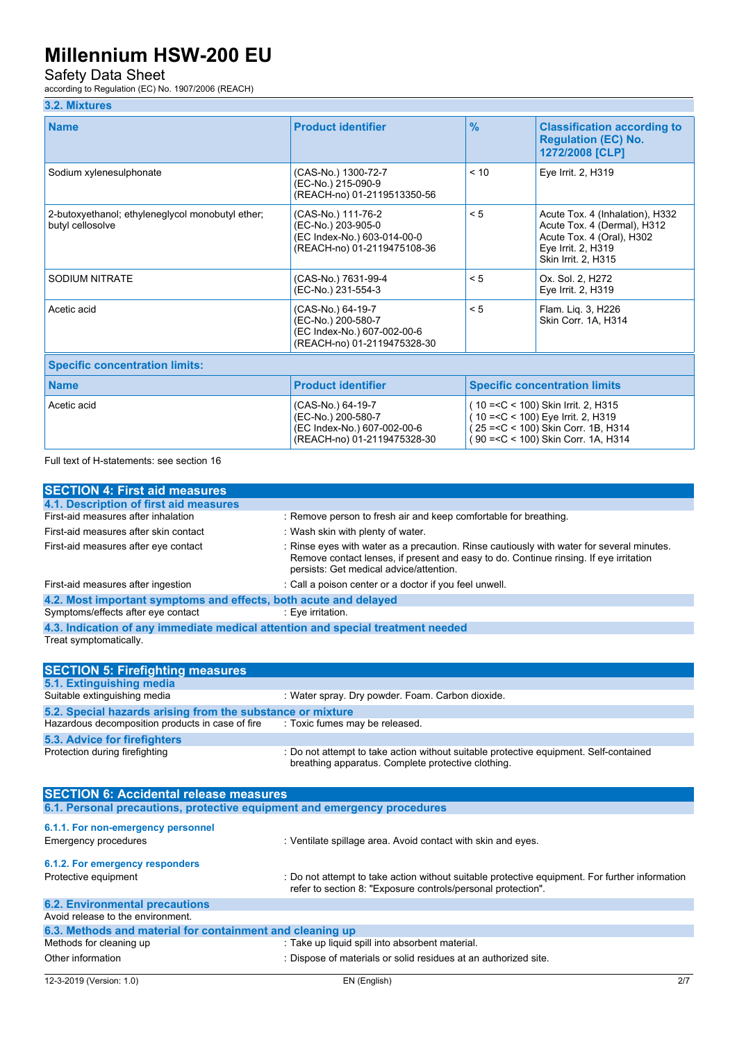### Safety Data Sheet

according to Regulation (EC) No. 1907/2006 (REACH)

### **3.2. Mixtures**

| <b>Name</b>                                                                      | <b>Product identifier</b>                                                                              | $\frac{9}{6}$ | <b>Classification according to</b><br><b>Regulation (EC) No.</b><br>1272/2008 [CLP]                                                                         |  |
|----------------------------------------------------------------------------------|--------------------------------------------------------------------------------------------------------|---------------|-------------------------------------------------------------------------------------------------------------------------------------------------------------|--|
| Sodium xylenesulphonate                                                          | (CAS-No.) 1300-72-7<br>(EC-No.) 215-090-9<br>(REACH-no) 01-2119513350-56                               | < 10          | Eye Irrit. 2, H319                                                                                                                                          |  |
| 2-butoxyethanol; ethyleneglycol monobutyl ether;<br>butyl cellosolve             | (CAS-No.) 111-76-2<br>(EC-No.) 203-905-0<br>(EC Index-No.) 603-014-00-0<br>(REACH-no) 01-2119475108-36 | < 5           | Acute Tox. 4 (Inhalation), H332<br>Acute Tox. 4 (Dermal), H312<br>Acute Tox. 4 (Oral), H302<br>Eye Irrit. 2, H319<br>Skin Irrit. 2, H315                    |  |
| <b>SODIUM NITRATE</b>                                                            | (CAS-No.) 7631-99-4<br>(EC-No.) 231-554-3                                                              | < 5           | Ox. Sol. 2, H272<br>Eye Irrit. 2, H319                                                                                                                      |  |
| Acetic acid                                                                      | (CAS-No.) 64-19-7<br>(EC-No.) 200-580-7<br>(EC Index-No.) 607-002-00-6<br>(REACH-no) 01-2119475328-30  | < 5           | Flam. Lig. 3, H226<br>Skin Corr. 1A, H314                                                                                                                   |  |
| <b>Specific concentration limits:</b>                                            |                                                                                                        |               |                                                                                                                                                             |  |
| <b>Product identifier</b><br><b>Name</b><br><b>Specific concentration limits</b> |                                                                                                        |               |                                                                                                                                                             |  |
| Acetic acid                                                                      | (CAS-No.) 64-19-7<br>(EC-No.) 200-580-7<br>(EC Index-No.) 607-002-00-6<br>(REACH-no) 01-2119475328-30  |               | (10 = < C < 100) Skin Irrit. 2, H315<br>$(10 = C < 100)$ Eye Irrit. 2, H319<br>(25 = < C < 100) Skin Corr. 1B, H314<br>(90 = < C < 100) Skin Corr. 1A, H314 |  |

Full text of H-statements: see section 16

| <b>SECTION 4: First aid measures</b>                                            |                                                                                                                                                                                                                               |
|---------------------------------------------------------------------------------|-------------------------------------------------------------------------------------------------------------------------------------------------------------------------------------------------------------------------------|
| 4.1. Description of first aid measures                                          |                                                                                                                                                                                                                               |
| First-aid measures after inhalation                                             | : Remove person to fresh air and keep comfortable for breathing.                                                                                                                                                              |
| First-aid measures after skin contact                                           | : Wash skin with plenty of water.                                                                                                                                                                                             |
| First-aid measures after eye contact                                            | : Rinse eyes with water as a precaution. Rinse cautiously with water for several minutes.<br>Remove contact lenses, if present and easy to do. Continue rinsing. If eye irritation<br>persists: Get medical advice/attention. |
| First-aid measures after ingestion                                              | : Call a poison center or a doctor if you feel unwell.                                                                                                                                                                        |
| 4.2. Most important symptoms and effects, both acute and delayed                |                                                                                                                                                                                                                               |
| Symptoms/effects after eye contact                                              | : Eye irritation.                                                                                                                                                                                                             |
| 4.3. Indication of any immediate medical attention and special treatment needed |                                                                                                                                                                                                                               |
| Treat symptomatically.                                                          |                                                                                                                                                                                                                               |
|                                                                                 |                                                                                                                                                                                                                               |
| <b>SECTION 5: Firefighting measures</b>                                         |                                                                                                                                                                                                                               |
| 5.1. Extinguishing media                                                        |                                                                                                                                                                                                                               |
| Suitable extinguishing media                                                    | : Water spray. Dry powder. Foam. Carbon dioxide.                                                                                                                                                                              |
| 5.2. Special hazards arising from the substance or mixture                      |                                                                                                                                                                                                                               |
| Hazardous decomposition products in case of fire                                | : Toxic fumes may be released.                                                                                                                                                                                                |
| <b>5.3. Advice for firefighters</b>                                             |                                                                                                                                                                                                                               |
| Protection during firefighting                                                  | : Do not attempt to take action without suitable protective equipment. Self-contained<br>breathing apparatus. Complete protective clothing.                                                                                   |
| <b>SECTION 6: Accidental release measures</b>                                   |                                                                                                                                                                                                                               |
| 6.1. Personal precautions, protective equipment and emergency procedures        |                                                                                                                                                                                                                               |
|                                                                                 |                                                                                                                                                                                                                               |
| 6.1.1. For non-emergency personnel                                              |                                                                                                                                                                                                                               |
| <b>Emergency procedures</b>                                                     | : Ventilate spillage area. Avoid contact with skin and eyes.                                                                                                                                                                  |
| 6.1.2. For emergency responders                                                 |                                                                                                                                                                                                                               |
| Protective equipment                                                            | : Do not attempt to take action without suitable protective equipment. For further information<br>refer to section 8: "Exposure controls/personal protection".                                                                |
| <b>6.2. Environmental precautions</b>                                           |                                                                                                                                                                                                                               |
| Avoid release to the environment.                                               |                                                                                                                                                                                                                               |
| 6.3. Methods and material for containment and cleaning up                       |                                                                                                                                                                                                                               |
| Methods for cleaning up                                                         | : Take up liquid spill into absorbent material.                                                                                                                                                                               |
| Other information                                                               | : Dispose of materials or solid residues at an authorized site.                                                                                                                                                               |
|                                                                                 |                                                                                                                                                                                                                               |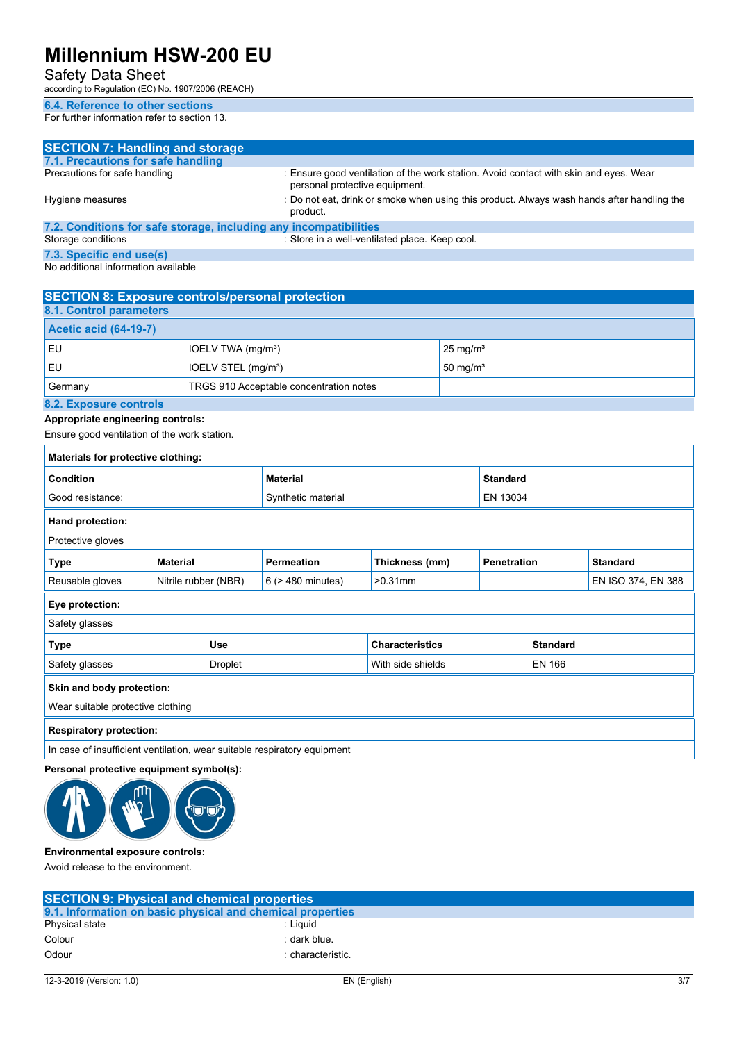### Safety Data Sheet

according to Regulation (EC) No. 1907/2006 (REACH)

### **6.4. Reference to other sections**

For further information refer to section 13.

| <b>SECTION 7: Handling and storage</b>                            |                                                                                                                         |
|-------------------------------------------------------------------|-------------------------------------------------------------------------------------------------------------------------|
| 7.1. Precautions for safe handling                                |                                                                                                                         |
| Precautions for safe handling                                     | : Ensure good ventilation of the work station. Avoid contact with skin and eyes. Wear<br>personal protective equipment. |
| Hygiene measures                                                  | : Do not eat, drink or smoke when using this product. Always wash hands after handling the<br>product.                  |
| 7.2. Conditions for safe storage, including any incompatibilities |                                                                                                                         |
| Storage conditions                                                | : Store in a well-ventilated place. Keep cool.                                                                          |
| 7.3. Specific end use(s)                                          |                                                                                                                         |
| No additional information available                               |                                                                                                                         |

| <b>SECTION 8: Exposure controls/personal protection</b> |                                 |                     |
|---------------------------------------------------------|---------------------------------|---------------------|
| 8.1. Control parameters                                 |                                 |                     |
| <b>Acetic acid (64-19-7)</b>                            |                                 |                     |
| l EU                                                    | IOELV TWA (mg/m <sup>3</sup> )  | $25 \text{ mg/m}^3$ |
| l EU                                                    | IOELV STEL (mg/m <sup>3</sup> ) | $50 \text{ mg/m}^3$ |
| TRGS 910 Acceptable concentration notes<br>Germany      |                                 |                     |
| 8.2 Evnoeuro controle                                   |                                 |                     |

#### **8.2. Exposure controls**

#### **Appropriate engineering controls:**

Ensure good ventilation of the work station.

| Materials for protective clothing:                                                           |                      |                 |                        |                 |                 |                                       |                    |
|----------------------------------------------------------------------------------------------|----------------------|-----------------|------------------------|-----------------|-----------------|---------------------------------------|--------------------|
| Condition                                                                                    |                      | <b>Material</b> |                        | <b>Standard</b> |                 |                                       |                    |
| Good resistance:                                                                             |                      |                 | Synthetic material     | EN 13034        |                 |                                       |                    |
| Hand protection:                                                                             |                      |                 |                        |                 |                 |                                       |                    |
| Protective gloves                                                                            |                      |                 |                        |                 |                 |                                       |                    |
| <b>Type</b><br><b>Material</b>                                                               |                      |                 | <b>Permeation</b>      | Thickness (mm)  |                 | <b>Penetration</b><br><b>Standard</b> |                    |
| Reusable gloves                                                                              | Nitrile rubber (NBR) |                 | 6 (> 480 minutes)      | $>0.31$ mm      |                 |                                       | EN ISO 374, EN 388 |
| Eye protection:                                                                              |                      |                 |                        |                 |                 |                                       |                    |
| Safety glasses                                                                               |                      |                 |                        |                 |                 |                                       |                    |
| <b>Use</b><br>Type                                                                           |                      |                 | <b>Characteristics</b> |                 | <b>Standard</b> |                                       |                    |
| Safety glasses<br>Droplet                                                                    |                      |                 | With side shields      |                 | <b>EN 166</b>   |                                       |                    |
| Skin and body protection:                                                                    |                      |                 |                        |                 |                 |                                       |                    |
| Wear suitable protective clothing                                                            |                      |                 |                        |                 |                 |                                       |                    |
| <b>Respiratory protection:</b>                                                               |                      |                 |                        |                 |                 |                                       |                    |
| the company of including the contributions are considered as a contractor of a contractor of |                      |                 |                        |                 |                 |                                       |                    |

 $|$  In case of insufficient ventilation, wear suitable respiratory equipment

### **Personal protective equipment symbol(s):**



#### **Environmental exposure controls:**

Avoid release to the environment.

| <b>SECTION 9: Physical and chemical properties</b> |                                                            |  |
|----------------------------------------------------|------------------------------------------------------------|--|
|                                                    | 9.1. Information on basic physical and chemical properties |  |
| Physical state                                     | : Liauid                                                   |  |
| Colour                                             | : dark blue.                                               |  |
| Odour                                              | : characteristic.                                          |  |
|                                                    |                                                            |  |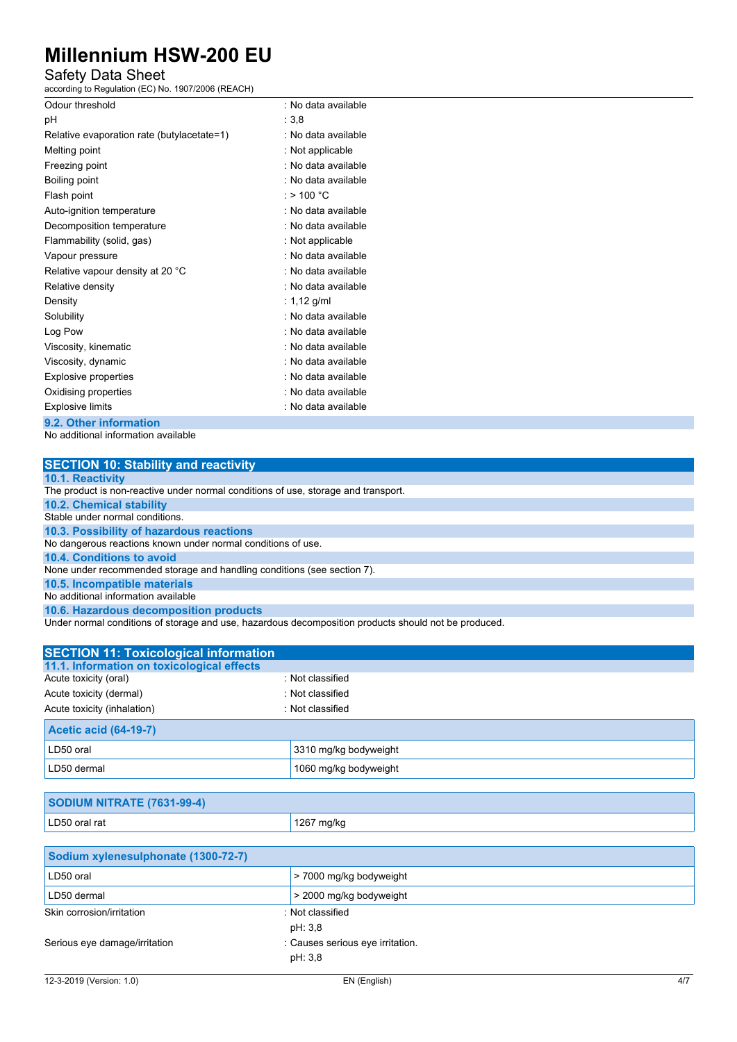## Safety Data Sheet

according to Regulation (EC) No. 1907/2006 (REACH)

| Odour threshold                                         | : No data available |
|---------------------------------------------------------|---------------------|
| рH                                                      | : 3,8               |
| Relative evaporation rate (butylacetate=1)              | : No data available |
| Melting point                                           | : Not applicable    |
| Freezing point                                          | : No data available |
| Boiling point                                           | : No data available |
| Flash point                                             | : > 100 °C          |
| Auto-ignition temperature                               | : No data available |
| Decomposition temperature                               | : No data available |
| Flammability (solid, gas)                               | : Not applicable    |
| Vapour pressure                                         | : No data available |
| Relative vapour density at 20 °C                        | : No data available |
| Relative density                                        | : No data available |
| Density                                                 | : 1,12 g/ml         |
| Solubility                                              | : No data available |
| Log Pow                                                 | : No data available |
| Viscosity, kinematic                                    | : No data available |
| Viscosity, dynamic                                      | : No data available |
| Explosive properties                                    | : No data available |
| Oxidising properties                                    | : No data available |
| <b>Explosive limits</b>                                 | : No data available |
| $\sim$ $\sim$ $\sim$ $\sim$ $\sim$ $\sim$ $\sim$ $\sim$ |                     |

### **9.2. Other information**

No additional information available

| <b>SECTION 10: Stability and reactivity</b>                                                        |
|----------------------------------------------------------------------------------------------------|
| <b>10.1. Reactivity</b>                                                                            |
| The product is non-reactive under normal conditions of use, storage and transport.                 |
| <b>10.2. Chemical stability</b>                                                                    |
| Stable under normal conditions.                                                                    |
| 10.3. Possibility of hazardous reactions                                                           |
| No dangerous reactions known under normal conditions of use.                                       |
| 10.4. Conditions to avoid                                                                          |
| None under recommended storage and handling conditions (see section 7).                            |
| 10.5. Incompatible materials                                                                       |
| No additional information available                                                                |
| 10.6. Hazardous decomposition products                                                             |
| Under normal conditions of storage and use hazardous decomposition products should not be produced |

der normal conditions of storage and use, hazardous decomposition products should not be produced.

| <b>SECTION 11: Toxicological information</b> |                       |  |
|----------------------------------------------|-----------------------|--|
| 11.1. Information on toxicological effects   |                       |  |
| Acute toxicity (oral)                        | : Not classified      |  |
| Acute toxicity (dermal)                      | : Not classified      |  |
| Acute toxicity (inhalation)                  | : Not classified      |  |
| <b>Acetic acid (64-19-7)</b>                 |                       |  |
| LD50 oral                                    | 3310 mg/kg bodyweight |  |
| LD50 dermal                                  | 1060 mg/kg bodyweight |  |

| SODIUM NITRATE (7631-99-4) |            |  |
|----------------------------|------------|--|
| LD50 oral rat              | 1267 mg/kg |  |

| Sodium xylenesulphonate (1300-72-7) |                                             |  |
|-------------------------------------|---------------------------------------------|--|
| LD50 oral                           | > 7000 mg/kg bodyweight                     |  |
| LD50 dermal                         | > 2000 mg/kg bodyweight                     |  |
| Skin corrosion/irritation           | : Not classified<br>pH: 3,8                 |  |
| Serious eye damage/irritation       | : Causes serious eye irritation.<br>pH: 3,8 |  |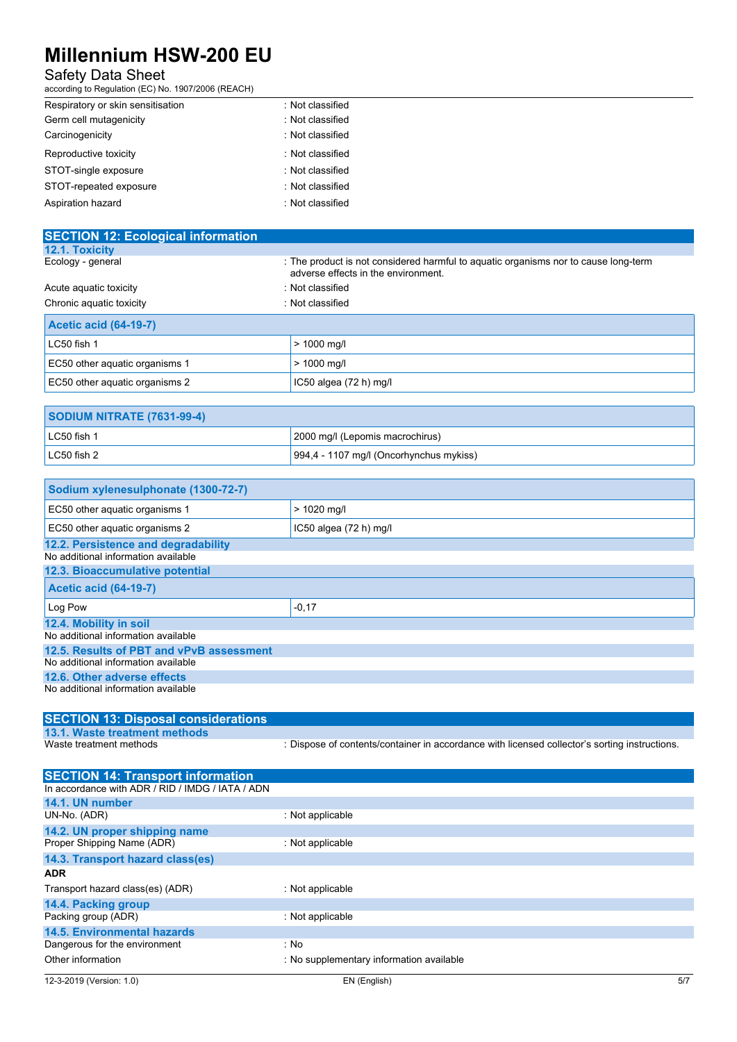### Safety Data Sheet

according to Regulation (EC) No. 1907/2006 (REACH)

| Respiratory or skin sensitisation | : Not classified |
|-----------------------------------|------------------|
| Germ cell mutagenicity            | : Not classified |
| Carcinogenicity                   | : Not classified |
| Reproductive toxicity             | : Not classified |
| STOT-single exposure              | : Not classified |
| STOT-repeated exposure            | : Not classified |
| Aspiration hazard                 | : Not classified |

| <b>SECTION 12: Ecological information</b> |                                                                                                                            |
|-------------------------------------------|----------------------------------------------------------------------------------------------------------------------------|
| 12.1. Toxicity                            |                                                                                                                            |
| Ecology - general                         | : The product is not considered harmful to aguatic organisms nor to cause long-term<br>adverse effects in the environment. |
| Acute aguatic toxicity                    | : Not classified                                                                                                           |
| Chronic aquatic toxicity                  | : Not classified                                                                                                           |
| <b>Acetic acid (64-19-7)</b>              |                                                                                                                            |
| LC50 fish 1                               | $> 1000$ mg/l                                                                                                              |
| EC50 other aquatic organisms 1            | $> 1000$ mg/l                                                                                                              |
| EC50 other aguatic organisms 2            | IC50 algea $(72 h)$ mg/l                                                                                                   |

| <b>SODIUM NITRATE (7631-99-4)</b> |                                         |
|-----------------------------------|-----------------------------------------|
| $LC50$ fish 1                     | 2000 mg/l (Lepomis macrochirus)         |
| $LC50$ fish 2                     | 994,4 - 1107 mg/l (Oncorhynchus mykiss) |

| Sodium xylenesulphonate (1300-72-7)      |                          |
|------------------------------------------|--------------------------|
| EC50 other aquatic organisms 1           | $> 1020$ mg/l            |
| EC50 other aquatic organisms 2           | IC50 algea $(72 h)$ mg/l |
| 12.2. Persistence and degradability      |                          |
| No additional information available      |                          |
| 12.3. Bioaccumulative potential          |                          |
| <b>Acetic acid (64-19-7)</b>             |                          |
| Log Pow                                  | $-0,17$                  |
| 12.4. Mobility in soil                   |                          |
| No additional information available      |                          |
| 12.5. Results of PBT and vPvB assessment |                          |
| No additional information available      |                          |
| 12.6. Other adverse effects              |                          |
| No additional information available      |                          |

| <b>SECTION 13: Disposal considerations</b> |                                                                                               |
|--------------------------------------------|-----------------------------------------------------------------------------------------------|
| 13.1. Waste treatment methods              |                                                                                               |
| Waste treatment methods                    | : Dispose of contents/container in accordance with licensed collector's sorting instructions. |

| : Not applicable                         |     |
|------------------------------------------|-----|
|                                          |     |
| : Not applicable                         |     |
|                                          |     |
|                                          |     |
| : Not applicable                         |     |
|                                          |     |
| : Not applicable                         |     |
|                                          |     |
| : No                                     |     |
| : No supplementary information available |     |
| EN (English)                             | 5/7 |
|                                          |     |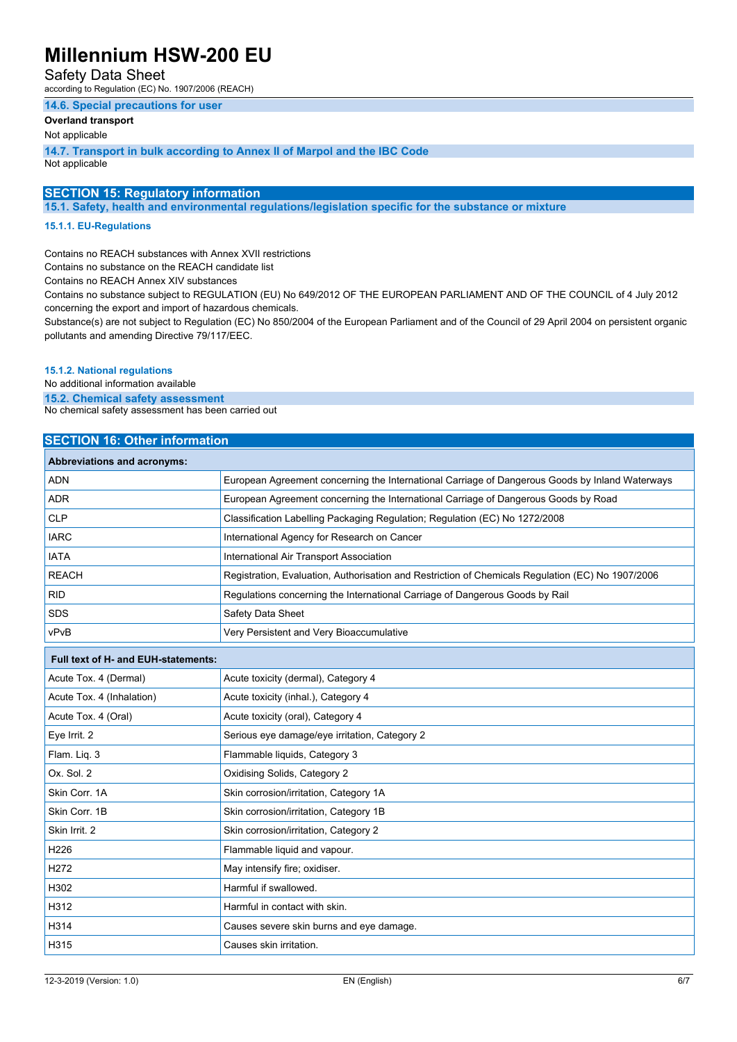### Safety Data Sheet

according to Regulation (EC) No. 1907/2006 (REACH)

#### **14.6. Special precautions for user**

### **Overland transport**

Not applicable

**14.7. Transport in bulk according to Annex II of Marpol and the IBC Code** Not applicable

### **SECTION 15: Regulatory information**

**15.1. Safety, health and environmental regulations/legislation specific for the substance or mixture**

#### **15.1.1. EU-Regulations**

Contains no REACH substances with Annex XVII restrictions

Contains no substance on the REACH candidate list

Contains no REACH Annex XIV substances

Contains no substance subject to REGULATION (EU) No 649/2012 OF THE EUROPEAN PARLIAMENT AND OF THE COUNCIL of 4 July 2012 concerning the export and import of hazardous chemicals.

Substance(s) are not subject to Regulation (EC) No 850/2004 of the European Parliament and of the Council of 29 April 2004 on persistent organic pollutants and amending Directive 79/117/EEC.

#### **15.1.2. National regulations**

No additional information available

**15.2. Chemical safety assessment**

No chemical safety assessment has been carried out

### **SECTION 16: Other information**

| Abbreviations and acronyms: |                                                                                                   |
|-----------------------------|---------------------------------------------------------------------------------------------------|
| <b>ADN</b>                  | European Agreement concerning the International Carriage of Dangerous Goods by Inland Waterways   |
| ADR                         | European Agreement concerning the International Carriage of Dangerous Goods by Road               |
| <b>CLP</b>                  | Classification Labelling Packaging Regulation; Regulation (EC) No 1272/2008                       |
| <b>IARC</b>                 | International Agency for Research on Cancer                                                       |
| IATA                        | International Air Transport Association                                                           |
| <b>REACH</b>                | Registration, Evaluation, Authorisation and Restriction of Chemicals Regulation (EC) No 1907/2006 |
| <b>RID</b>                  | Regulations concerning the International Carriage of Dangerous Goods by Rail                      |
| <b>SDS</b>                  | Safety Data Sheet                                                                                 |
| vPvB                        | Very Persistent and Very Bioaccumulative                                                          |

| <b>Full text of H- and EUH-statements:</b> |                                               |
|--------------------------------------------|-----------------------------------------------|
| Acute Tox. 4 (Dermal)                      | Acute toxicity (dermal), Category 4           |
| Acute Tox. 4 (Inhalation)                  | Acute toxicity (inhal.), Category 4           |
| Acute Tox. 4 (Oral)                        | Acute toxicity (oral), Category 4             |
| Eye Irrit. 2                               | Serious eye damage/eye irritation, Category 2 |
| Flam. Liq. 3                               | Flammable liquids, Category 3                 |
| Ox. Sol. 2                                 | Oxidising Solids, Category 2                  |
| Skin Corr. 1A                              | Skin corrosion/irritation, Category 1A        |
| Skin Corr. 1B                              | Skin corrosion/irritation, Category 1B        |
| Skin Irrit. 2                              | Skin corrosion/irritation, Category 2         |
| H <sub>226</sub>                           | Flammable liquid and vapour.                  |
| H <sub>2</sub> 72                          | May intensify fire; oxidiser.                 |
| H302                                       | Harmful if swallowed.                         |
| H312                                       | Harmful in contact with skin.                 |
| H314                                       | Causes severe skin burns and eye damage.      |
| H315                                       | Causes skin irritation.                       |